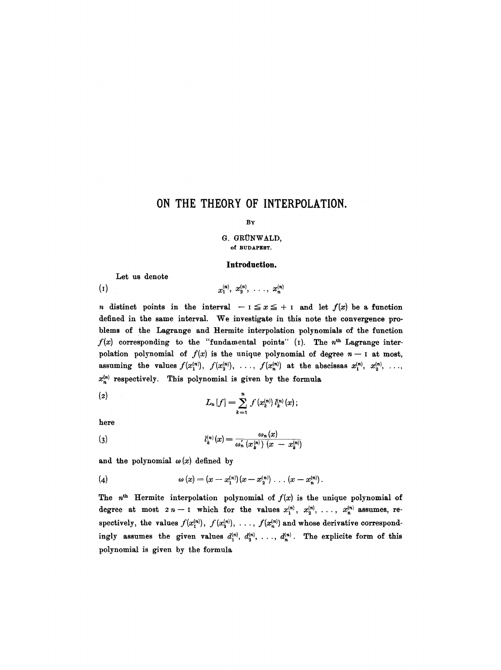# **ON THE THEORY OF INTERPOLATION.**

#### BY

#### G. GRÜNWALD, Of BUDAPEST.

#### **Introduction.**

Let us denote

 $x_1^{(n)}, x_2^{(n)}, \ldots, x_n^{(n)}$  $\left( 1\right)$ 

n distinct points in the interval  $-1 \le x \le +1$  and let  $f(x)$  be a function defined in the same interval. We investigate in this note the convergence problems of the Lagrange and Bermite interpolation polynomials of the function  $f(x)$  corresponding to the "fundamental points" (1). The  $n<sup>th</sup>$  Lagrange interpolation polynomial of  $f(x)$  is the unique polynomial of degree  $n-1$  at most, assuming the values  $f(x_1^{(n)}), f(x_2^{(n)}), \ldots, f(x_n^{(n)})$  at the abscissas  $x_1^{(n)}, x_2^{(n)}, \ldots$  $x_n^{(n)}$  respectively. This polynomial is given by the formula

(2) 
$$
L_n[f] = \sum_{k=1}^n f(x_k^{(n)}) l_k^{(n)}(x);
$$

here

(3) 
$$
l_k^{(n)}(x) = \frac{\omega_n(x)}{\omega_n'(x_k^{(n)}) (x - x_k^{(n)})}
$$

and the polynomial  $\omega(x)$  defined by

(4) 
$$
\omega(x) = (x - x_1^{(n)}) (x - x_2^{(n)}) \dots (x - x_n^{(n)}).
$$

The  $n<sup>th</sup>$  Hermite interpolation polynomial of  $f(x)$  is the unique polynomial of degree at most  $2n-1$  which for the values  $x_1^{(n)}, x_2^{(n)}, \ldots, x_n^{(n)}$  assumes, respectively, the values  $f(x_1^{(n)}), f(x_2^{(n)}), \ldots, f(x_n^{(n)})$  and whose derivative correspondingly assumes the given values  $d_1^{(n)}, d_2^{(n)}, \ldots, d_n^{(n)}$ . The explicite form of this polynomial is given by the formula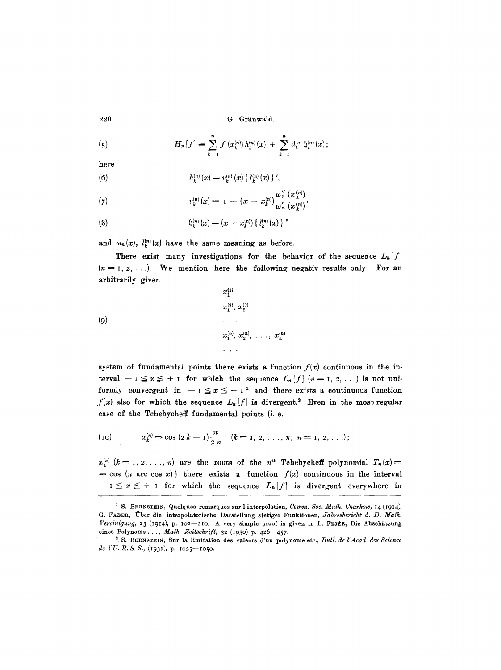(5) 
$$
H_n[f] \equiv \sum_{k=1}^n f(x_k^{(n)}) h_k^{(n)}(x) + \sum_{k=1}^n d_k^{(n)} \mathfrak{h}_k^{(n)}(x);
$$

$$
\bold{here}
$$

(6) 
$$
h_k^{(n)}(x) = v_k^{(n)}(x) \{ l_k^{(n)}(x) \}^2,
$$

(7) 
$$
v_k^{(n)}(x) = 1 - (x - x_k^{(n)}) \frac{\omega_n''(x_k^{(n)})}{\omega_n'(x_k^{(n)})},
$$

(8) 
$$
\mathfrak{h}_k^{(n)}(x) = (x - x_k^{(n)}) \{ l_k^{(n)}(x) \}^2
$$

and  $\omega_n(x)$ ,  $l_k^{(n)}(x)$  have the same meaning as before.

There exist many investigations for the behavior of the sequence  $L_n[f]$  $(n = 1, 2, \ldots)$ . We mention here the following negativ results only. For an arbitrarily given

$$
(9) \quad x_1^{(1)} \quad x_2^{(2)}, \, x_2^{(2)} \quad \ldots \quad \ldots \quad \ldots \quad \ldots \quad \ldots \quad x_n^{(n)}, \, x_2^{(n)}, \, \ldots \, , \, x_n^{(n)} \quad \ldots \quad \ldots
$$

system of fundamental points there exists a function  $f(x)$  continuous in the interval  $-1 \le x \le + i$  for which the sequence  $L_n[f]$   $(n = 1, 2, ...)$  is not uniformly convergent in  $- i \le x \le + i^1$  and there exists a continuous function  $f(x)$  also for which the sequence  $L_n[f]$  is divergent.<sup>2</sup> Even in the most regular case of the Tchebycheff fundamental points (i. e.

(10) 
$$
x_k^{(n)} = \cos (2k - 1) \frac{\pi}{2n} \quad (k = 1, 2, \ldots, n; n = 1, 2, \ldots);
$$

 $x_k^{(n)}$   $(k = 1, 2, ..., n)$  are the roots of the n<sup>th</sup> Tchebycheff polynomial  $T_n(x)$ =  $=$  cos (n arc cos x)) there exists a function  $f(x)$  continuous in the interval  $-1 \le x \le +1$  for which the sequence  $L_n[f]$  is divergent everywhere in

<sup>&</sup>lt;sup>1</sup> S. BERNSTEIN, Quelques remarques sur l'interpolation, *Comm. Soc. Math. Charkow*, 14 (1914). G. FABER, Uber die interpolatorische Darstellung stetiger Funktionen, *Jahresbericht d. D. Math. Vereinigung, 23 (1914), p. 102-210. A very simple proof is given in L. FEJÉR, Die Abschätzung* eines Polynoms..., *Math. Zeitschrift,* 32 (I93o) p. 425--457 .

<sup>&</sup>lt;sup>2</sup> S. BERNSTEIN, Sur la limitation des valeurs d'un polynome etc., *Bull. de l'Acad. des Science de I'U.R.S.S.,* (I93I), p. ro25--ioso.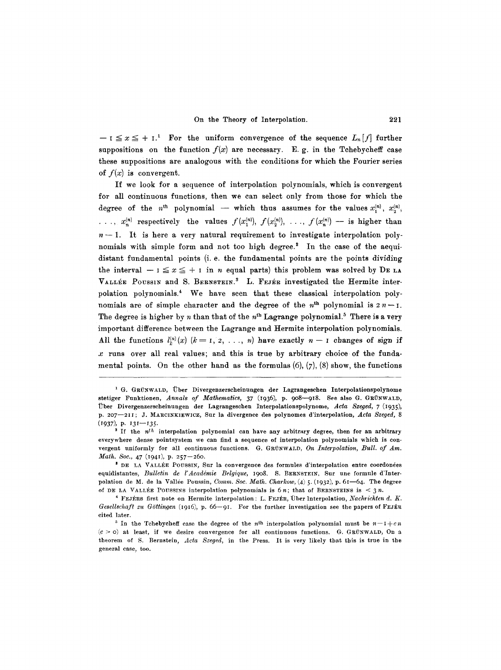$-$  **I**  $\leq x \leq +$  **I.** For the uniform convergence of the sequence  $L_n[f]$  further suppositions on the function  $f(x)$  are necessary. E.g. in the Tchebycheff case these suppositions are analogous with the conditions for which the Fourier series of  $f(x)$  is convergent.

If we look for a sequence of interpolation polynomials, which is convergent for all continuous functions, then we can select only from those for which the degree of the n<sup>th</sup> polynomial -- which thus assumes for the values  $x_1^{(n)}$ ,  $x_2^{(n)}$ , *....*  $x_n^{(n)}$  respectively the values  $f(x_1^{(n)}), f(x_2^{(n)}), \ldots, f(x_n^{(n)})$  -- is higher than  $n-1$ . It is here a very natural requirement to investigate interpolation polynomials with simple form and not too high degree. $^2$  In the case of the aequidistant fundamental points (i. e. the fundamental points are the points dividing the interval  $-1 \le x \le +1$  in n equal parts) this problem was solved by DE LA VALLÉE POUSSIN and S. BERNSTEIN.<sup>3</sup> L. FEJÉR investigated the Hermite interpolation polynomials. 4 We have seen that these classical interpolation polynomials are of simple character and the degree of the  $n<sup>th</sup>$  polynomial is  $2 n - 1$ . The degree is higher by n than that of the  $n<sup>th</sup>$  Lagrange polynomial.<sup>5</sup> There is a very important difference between the Lagrange and Hermite interpolation polynomials. All the functions  $l_k^{(n)}(x)$   $(k = 1, 2, ..., n)$  have exactly  $n - 1$  changes of sign if  $x$  runs over all real values; and this is true by arbitrary choice of the fundamental points. On the other hand as the formulas  $(6)$ ,  $(7)$ ,  $(8)$  show, the functions

<sup>&</sup>lt;sup>1</sup> G. GRÜNWALD, Über Divergenzerscheinungen der Lagrangeschen Interpolationspolynome stetiger Funktionen, Annals of Mathematics, 37 (1936), p. 908-918. See also G. GRÜNWALD, Über Divergenzerscheinungen der Lagrangeschen Interpolationspolynome, Acta Szeged, 7 (1935), p. 207-211; J. MARCINKIEWICZ, Sur la divergence des polynomes d'interpolation, Acta Szeged, 8 (I937), P. *I3I--I35.* 

<sup>&</sup>lt;sup>2</sup> If the  $n^{th}$  interpolation polynomial can have any arbitrary degree, then for an arbitrary everywhere dense pointsystem we can find a sequence of interpolation polynomials which is convergent uniformly for all continuous functions. G. GRUNWALD, On Interpolation, Bull. of Am. *Math. Soc., 47* (1941), p. 257-260.

<sup>&</sup>lt;sup>3</sup> DE LA VALLÉE POUSSIN, Sur la convergence des formules d'interpolation entre coordonées equidistantes, *Bulletin de l'Académie Belgique*, 1908. S. BERNSTEIN, Sur une formule d'Interpolation de M. de la Vallée Poussin, *Comm. Soc. Math. Charkow*, (4) 5. (1932), p. 61-64. The degree of DE LA VALLÉE POUSSINS interpolation polynomials is  $6n$ ; that of BERNSTEINS is  $\leq 3n$ .

<sup>&</sup>lt;sup>4</sup> FEJÉRS first note on Hermite interpolation: L. FEJÉR, Über Interpolation, *Nachrichten d. K. Gesellschaft zu Göttingen* (1916), p. 66-91. For the further investigation see the papers of FEJER cited later.

<sup>&</sup>lt;sup>5</sup> In the Tchebycheff case the degree of the n<sup>th</sup> interpolation polynomial must be  $n-1+c$ n  $(c > o)$  at least, if we desire convergence for all continuous functions. G. GRUNWALD, On a theorem of S. Bernstein, *Acla Szeged,* in the Press. It is very likely that this is true in the general case, too.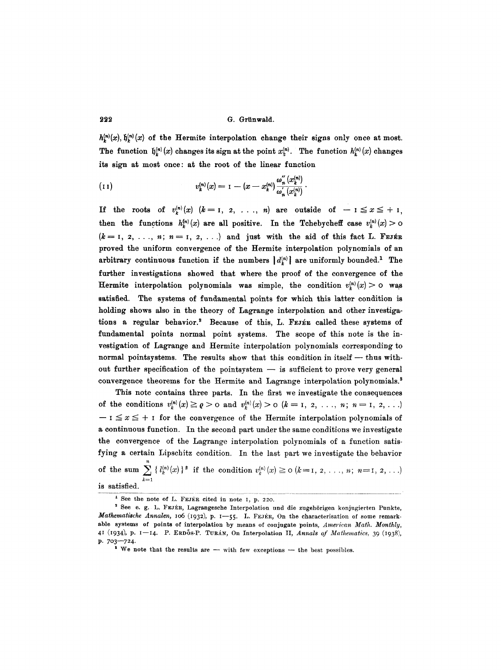$h_k^{(n)}(x)$ ,  $\mathfrak{h}_k^{(n)}(x)$  of the Hermite interpolation change their signs only once at most. The function  $\mathfrak{h}_k^{(n)}(x)$  changes its sign at the point  $x_k^{(n)}$ . The function  $h_k^{(n)}(x)$  changes its sign at most once: at the root of the linear function

(11) 
$$
v_k^{(n)}(x) = 1 - (x - x_k^{(n)}) \frac{\omega_n''(x_k^{(n)})}{\omega_n'(x_k^{(n)})}.
$$

If the roots of  $v_k^{(n)}(x)$   $(k = 1, 2, \ldots, n)$  are outside of  $-1 \le x \le +1$ , then the functions  $h_k^{(n)}(x)$  are all positive. In the Tchebycheff case  $v_k^{(n)}(x)>0$  $(k=1, 2, \ldots, n; n=1, 2, \ldots)$  and just with the aid of this fact L. FEJER proved the uniform convergence of the Hermite interpolation polynomials of an arbitrary continuous function if the numbers  $|d_k^{(n)}|$  are uniformly bounded.<sup>1</sup> The further investigations showed that where the proof of the convergence of the Hermite interpolation polynomials was simple, the condition  $v_r^{(n)}(x) > 0$  was satisfied. The systems of fundamental points for which this latter condition is holding shows also in the theory of Lagrange interpolation and other investigations a regular behavior.<sup>3</sup> Because of this, L. FEJER called these systems of fundamental points normal point systems. The scope of this note is the investigation of Lagrange and Hermite interpolation polynomials corresponding to normal pointsystems. The results show that this condition in itself - thus without further specification of the pointsystem  $-$  is sufficient to prove very general convergence theorems for the Hermite and Lagrange interpolation polynomials.<sup>3</sup>

This note contains three parts. In the first we investigate the consequences of the conditions  $v_k^{(n)}(x) \geq \varrho > 0$  and  $v_k^{(n)}(x) > 0$   $(k = 1, 2, \ldots, n; n = 1, 2, \ldots)$  $\mathbf{I} \leq x \leq +$  I for the convergence of the Hermite interpolation polynomials of a continuous function. In the second part under the same conditions we investigate the convergence of the Lagrange interpolation polynomials of a function satisfying a certain Lipschitz condition. In the last part we investigate the behavior of the sum  $\sum_i {\{l_k^{(n)}(x)\}}^2$  if the condition  $v_k^{(n)}(x) \ge 0$   $(k=1, 2, \ldots, n; n=1, 2, \ldots)$  $k=1$ is satisfied.

 $'$  See the note of L. FEJER cited in note 1, p. 220.

<sup>&</sup>lt;sup>2</sup> See e. g. L. FEJER, Lagrangesche Interpolation und die zugehörigen konjugierten Punkte, *Mathematische Annalen, 106 (1932), p. 1-55. L. FEJÉR, On the characterisation of some remark*able systems of points of interpolation by means of conjugate points, *American Math. Monthly,* 4I (1934), p. 1-14. P. ERDŐS-P. TURÁN, On Interpolation II, *Annals of Mathematics*, 39 (1938), p. 703-724.

 $s$  We note that the results are  $-$  with few exceptions  $-$  the best possibles.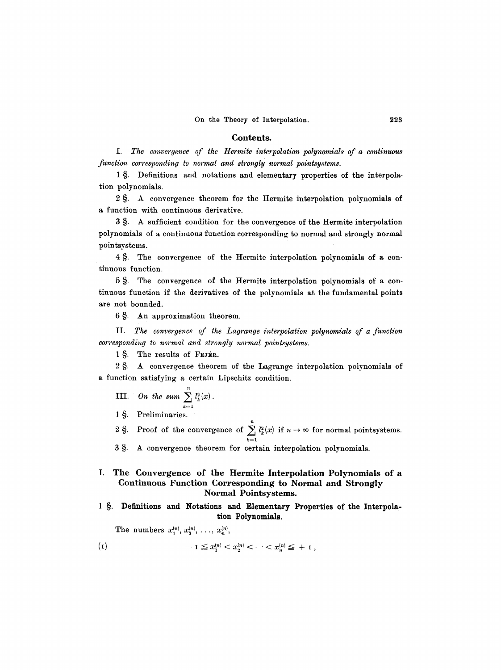#### **Contents.**

*f. The convergence of the Hermite interpolation polynomials of a continuous function corresponding to normal and strongly normal pointsystems.* 

1 §. Definitions and notations and elementary properties of the interpolation polynomials.

2 §. A convergence theorem for the Hermite interpolation polynomials of a function with continuous derivative.

3 §. A sufficient condition for the convergence of the Hermite interpolation polynomials of a continuous function corresponding to normal and strongly normal pointsystems.

4 §. The convergence of the Hermite interpolation polynomials of a continuous function.

5 §. The convergence of the Hermite interpolation polynomials of a continuous function if the derivatives of the polynomials at the fundamental points are not bounded.

6 §. An approximation theorem.

II. The convergence of the Lagrange interpolation polynomials of a function *corresponding to normal and strongly normal pointsystems.* 

1 S. The results of FEJÉR.

 $2 \text{ }\nS$ . A convergence theorem of the Lagrange interpolation polynomials of a function satisfying a certain Lipschitz condition.

**III.** On the sum  $\sum_{k=1}^{n} l_k^2(x)$ .

1 §. Preliminaries.

2 §. Proof of the convergence of  $\sum_{i=1}^{n} l_{k}^{2}(x)$  if  $n \to \infty$  for normal pointsystems.

3 §. A convergence theorem for certain interpolation polynomials.

### **I. The Convergence of the Hermite Interpolation Polynomials of a Continuous Function Corresponding to Normal and Strongly Normal Pointsystems.**

1 §. Definitions and Notations and Elementary Properties of the Interpola**tion Polynomials.** 

The numbers  $x_1^{(n)}, x_2^{(n)}, \ldots, x_n^{(n)},$ 

 $-1 \leq x_1^{(n)} < x_2^{(n)} < \cdots < x_n^{(n)} \leq + 1$  $\left( 1 \right)$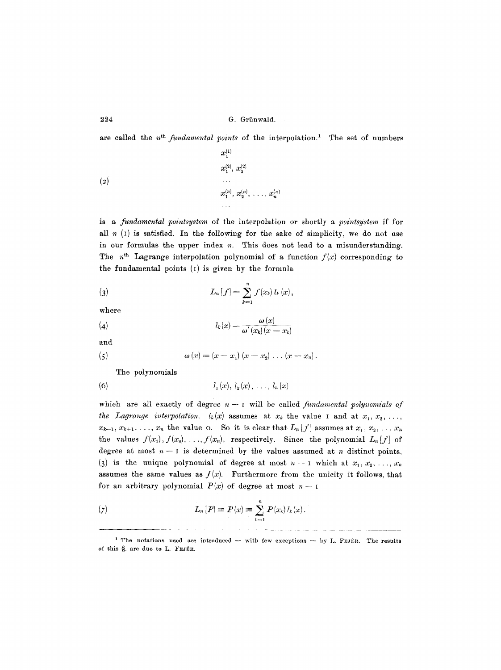are called the *n*<sup>th</sup> *fundamental points* of the interpolation.<sup>1</sup> The set of numbers

$$
\begin{array}{c} x_1^{(1)} \\ x_2^{(2)},\ x_2^{(2)} \\ \cdots \\ x_1^{(n)},\ x_2^{(n)},\ \ldots\ ,\ x_n^{(n)} \\ \cdots \\ \cdots \end{array}
$$

is a *fundamental pointsystem* of the interpolation or shortly a *pointsystem* if for all  $n$  (1) is satisfied. In the following for the sake of simplicity, we do not use in our formulas the upper index  $n$ . This does not lead to a misunderstanding. The  $n<sup>th</sup>$  Lagrange interpolation polynomial of a function  $f(x)$  corresponding to the fundamental points (I) is given by the formula

(3) 
$$
L_n[f] = \sum_{k=1}^n f(x_k) l_k(x),
$$

where

$$
l_k(x) = \frac{\omega(x)}{\omega'(x_k)(x - x_k)}
$$

and

(5) 
$$
\omega(x) = (x - x_1)(x - x_2) \ldots (x - x_n).
$$

The polynomials

(6) 
$$
l_1(x), l_2(x), \ldots, l_n(x)
$$

which are all exactly of degree  $n-1$  will be called *fundamental polynomials of the Lagrange interpolation.*  $l_k(x)$  assumes at  $x_k$  the value I and at  $x_1, x_2, \ldots$ ,  $x_{k-1}, x_{k+1}, \ldots, x_n$  the value o. So it is clear that  $L_n[f]$  assumes at  $x_1, x_2, \ldots x_n$ the values  $f(x_1), f(x_2), \ldots, f(x_n)$ , respectively. Since the polynomial  $L_n[f]$  of degree at most  $n-1$  is determined by the values assumed at n distinct points, (3) is the unique polynomial of degree at most  $n-1$  which at  $x_1, x_2, \ldots, x_n$ assumes the same values as  $f(x)$ . Furthermore from the unicity it follows, that for an arbitrary polynomial  $P(x)$  of degree at most  $n - 1$ 

(7) 
$$
L_n[P] \equiv P(x) \equiv \sum_{k=1}^n P(x_k) l_k(x).
$$

<sup>&</sup>lt;sup>1</sup> The notations used are introduced  $-$  with few exceptions  $-$  by L. FEJÉR. The results of this §. are due to L. FEJÉR.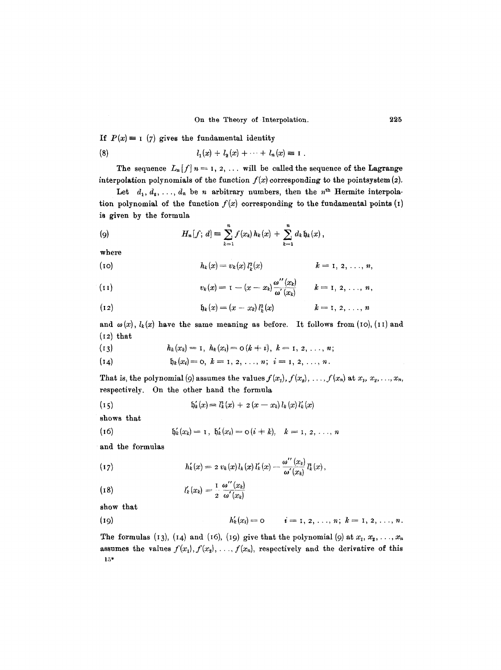If  $P(x) \equiv 1$  (7) gives the fundamental identity

(8) 
$$
l_1(x) + l_2(x) + \cdots + l_n(x) \equiv 1.
$$

The sequence  $L_n[f]$   $n = 1, 2, \ldots$  will be called the sequence of the Lagrange interpolation polynomials of the function  $f(x)$  corresponding to the pointsystem  $(z)$ .

Let  $d_1, d_2, \ldots, d_n$  be n arbitrary numbers, then the  $n<sup>th</sup>$  Hermite interpolation polynomial of the function  $f(x)$  corresponding to the fundamental points (1) is given by the formula

(9) 
$$
H_n[f; d] \equiv \sum_{k=1}^n f(x_k) h_k(x) + \sum_{k=1}^n d_k \mathfrak{h}_k(x),
$$

where

(10) 
$$
h_k(x) = v_k(x) l_k^2(x) \qquad k = 1, 2, ..., n,
$$

(11) 
$$
v_k(x) = 1 - (x - x_k) \frac{\omega''(x_k)}{\omega'(x_k)} \qquad k = 1, 2, \ldots, n,
$$

(12) 
$$
\mathfrak{h}_k(x) = (x - x_k) l_k^2(x) \qquad k = 1, 2, ..., n
$$

and  $\omega(x)$ ,  $l_k(x)$  have the same meaning as before. It follows from (10), (11) and  $(12)$  that

(13) 
$$
h_k(x_k) = 1, \ h_k(x_i) = o(k + i), \ k = 1, 2, \ldots, n;
$$

(14)  $\mathfrak{h}_k(x_i) = 0, k = 1, 2, \ldots, n; i = 1, 2, \ldots, n.$ 

That is, the polynomial (9) assumes the values  $f(x_1), f(x_2), \ldots, f(x_n)$  at  $x_1, x_2, \ldots, x_n$ , respectively. On the other hand the formula

(15) 
$$
\mathfrak{h}'_k(x) = l_k^2(x) + 2(x - x_k) l_k(x) l'_k(x)
$$

shows that

(16) 
$$
\mathfrak{h}'_k(x_k) = 1, \ \mathfrak{h}'_k(x_i) = \mathfrak{o}(i+k), \quad k = 1, 2, \ldots, n
$$

and the formulas

(17) 
$$
h'_{k}(x) = 2 v_{k}(x) l_{k}(x) l'_{k}(x) - \frac{\omega''(x_{k})}{\omega'(x_{k})} l^{2}_{k}(x),
$$

(18) 
$$
l'_{k}(x_{k}) = \frac{1}{2} \frac{\omega''(x_{k})}{\omega'(x_{k})}
$$

show that

(19) 
$$
h'_k(x_i) = 0
$$
  $i = 1, 2, ..., n; k = 1, 2, ..., n.$ 

The formulas (13), (14) and (16), (19) give that the polynomial (9) at  $x_1, x_2, \ldots, x_n$ assumes the values  $f(x_1), f(x_2), \ldots, f(x_n)$ , respectively and the derivative of this 15"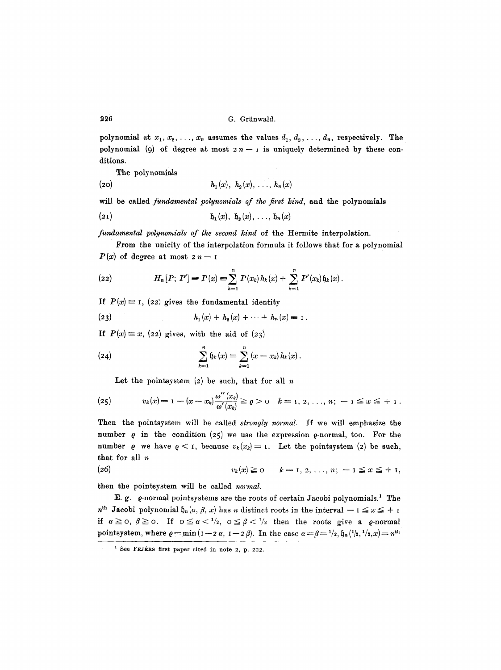polynomial at  $x_1, x_2, \ldots, x_n$  assumes the values  $d_1, d_2, \ldots, d_n$ , respectively. The polynomial (9) of degree at most  $2n-1$  is uniquely determined by these conditions.

The polynomials

(20) 
$$
h_1(x), h_2(x), ..., h_n(x)
$$

will be called *fundamental polynomials of the first kind,* and the polynomials

$$
\mathfrak{h}_1(x), \ \mathfrak{h}_2(x), \ \ldots, \ \mathfrak{h}_n(x)
$$

*fundamental polynomials of the second kind* of the Hermite interpolation.

From the unicity of the interpolation formula it follows that for a polynomial  $P(x)$  of degree at most  $2n-1$ 

(22) 
$$
H_n[P; P'] = P(x) = \sum_{k=1}^n P(x_k) h_k(x) + \sum_{k=1}^n P'(x_k) \mathfrak{h}_k(x).
$$

If  $P(x) \equiv 1$ , (22) gives the fundamental identity

(23) 
$$
h_1(x) + h_2(x) + \cdots + h_n(x) = 1.
$$

If  $P(x) \equiv x$ , (22) gives, with the aid of (23)

(24) 
$$
\sum_{k=1}^{n} \mathfrak{h}_k(x) \equiv \sum_{k=1}^{n} (x - x_k) h_k(x).
$$

Let the pointsystem  $(2)$  be such, that for all  $n$ 

(25) 
$$
v_k(x) = 1 - (x - x_k) \frac{\omega''(x_k)}{\omega'(x_k)} \geq \varrho > 0 \quad k = 1, 2, \ldots, n; -1 \leq x \leq +1.
$$

Then the pointsystem will be called *stronqly normal.* If we will emphasize the number  $\rho$  in the condition (25) we use the expression  $\rho$ -normal, too. For the number  $\rho$  we have  $\rho < 1$ , because  $v_k(x_k) = 1$ . Let the pointsystem (2) be such, that for all n

$$
(26) \t v_k(x) \geq 0 \t k = 1, 2, \ldots, n; -1 \leq x \leq +1,
$$

then the pointsystem will be called *normal.* 

E.g. Q-normal pointsystems are the roots of certain Jacobi polynomials. 1 The  $n^{\text{th}}$  Jacobi polynomial  $\mathfrak{h}_n(\alpha, \beta, x)$  has n distinct roots in the interval  $-1 \le x \le +1$ if  $\alpha \geq 0$ ,  $\beta \geq 0$ . If  $0 \leq \alpha < \frac{1}{2}$ ,  $0 \leq \beta < \frac{1}{2}$  then the roots give a g-normal pointsystem, where  $\rho = \min (1 - 2 \alpha, 1 - 2 \beta)$ . In the case  $\alpha = \beta = \frac{1}{2}, \mathfrak{h}_n(\frac{1}{2}, \frac{1}{2}, x) = n^{\text{th}}$ 

 $1$  See FEJERS first paper cited in note 2, p. 222.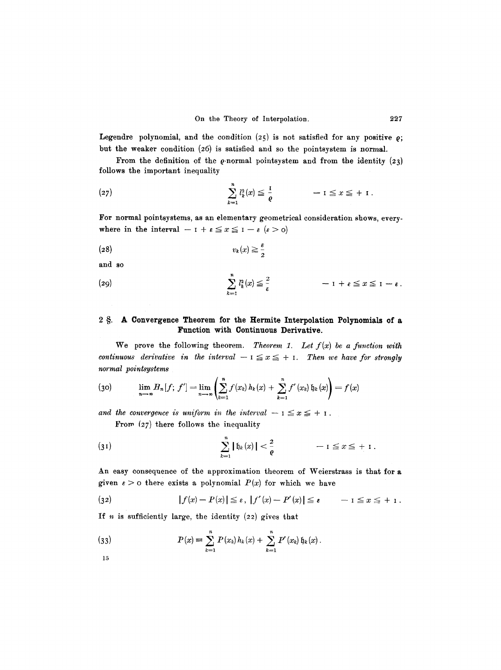Legendre polynomial, and the condition  $(25)$  is not satisfied for any positive  $\rho$ ; but the weaker condition  $(26)$  is satisfied and so the pointsystem is normal.

From the definition of the  $\rho$ -normal pointsystem and from the identity (23) follows the important inequality

(27) 
$$
\sum_{k=1}^n l_k^2(x) \leq \frac{1}{\varrho} \qquad -1 \leq x \leq +1.
$$

For normal pointsystems, as an elementary geometrical consideration shows, everywhere in the interval  $-1 + \varepsilon \le x \le 1 - \varepsilon$   $(\varepsilon > 0)$ 

$$
(28) \t v_k(x) \geq \frac{\varepsilon}{2}
$$

and so

(29) 
$$
\sum_{k=1}^{n} l_k^2(x) \leq \frac{2}{\epsilon} \qquad -1 + \epsilon \leq x \leq 1 - \epsilon.
$$

### 2 §. A Convergence Theorem for the Hermite Interpolation Polynomials of a **Function with Continuous Derivative.**

We prove the following theorem. *Theorem 1. Let f(x) be a function with continuous derivative in the interval*  $- I \le x \le + I$ . Then we have for strongly *normal pointsystems* 

(30) 
$$
\lim_{n \to \infty} H_n[f; f'] = \lim_{n \to \infty} \left( \sum_{k=1}^n f(x_k) h_k(x) + \sum_{k=1}^n f'(x_k) \mathfrak{h}_k(x) \right) = f(x)
$$

*and the convergence is uniform in the interval*  $-1 \le x \le +1$ .

From *(27)* there follows the inequality

(31) 
$$
\sum_{k=1}^{n} |\mathfrak{h}_k(x)| < \frac{2}{\varrho} \qquad -1 \leq x \leq +1.
$$

An easy consequence of the approximation theorem of Weierstrass is that for a given  $\epsilon > 0$  there exists a polynomial  $P(x)$  for which we have

(32) 
$$
|f(x)-P(x)| \leq \varepsilon, \ |f'(x)-P'(x)| \leq \varepsilon \qquad -1 \leq x \leq +1.
$$

If  $n$  is sufficiently large, the identity  $(22)$  gives that

(33) 
$$
P(x) = \sum_{k=1}^{n} P(x_k) h_k(x) + \sum_{k=1}^{n} P'(x_k) \mathfrak{h}_k(x).
$$

15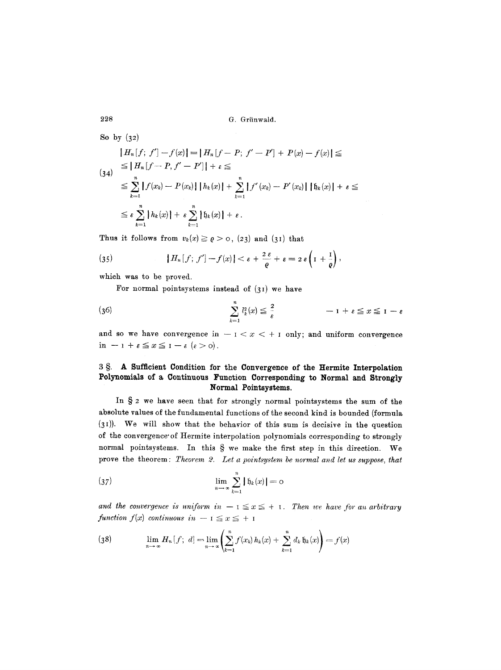So by  $(32)$ 

$$
\begin{aligned}\n\|H_n[f; f'] - f(x)\| &= \|H_n[f - P; f' - P'] + P(x) - f(x)\| \leq \\
&\leq \|H_n[f - P, f' - P']\| + \varepsilon \leq \\
&\leq \sum_{k=1}^n |f(x_k) - P(x_k)| \, \|h_k(x)\| + \sum_{k=1}^n |f'(x_k) - P'(x_k)| \, \|h_k(x)\| + \varepsilon \leq \\
&\leq \varepsilon \sum_{k=1}^n \|h_k(x)\| + \varepsilon \sum_{k=1}^n \|h_k(x)\| + \varepsilon.\n\end{aligned}
$$

Thus it follows from  $v_k(x) \geq \varrho > 0$ , (23) and (31) that

(35) 
$$
|H_n[f; f'] - f(x)| < \varepsilon + \frac{2\varepsilon}{\varrho} + \varepsilon = 2\varepsilon \left(1 + \frac{1}{\varrho}\right),
$$

which was to be proved.

For normal pointsystems instead of  $(31)$  we have

(36) 
$$
\sum_{k=1}^{n} l_k^2(x) \leq \frac{2}{\epsilon} \qquad -1 + \epsilon \leq x \leq 1 - \epsilon
$$

and so we have convergence in  $-1 < x < +1$  only; and uniform convergence  $in -1 + \varepsilon \le x \le 1 - \varepsilon$   $(\varepsilon > 0)$ .

### 3 §. A Sufficient Condition for the Convergence of the Hermite Interpolation **Polynomials of a Continuous Function Corresponding to Normal and Strongly Normal Pointsystems.**

In  $\S$  2 we have seen that for strongly normal pointsystems the sum of the absolute values of the fundamental functions of the second kind is bounded (formula (3I)). We will show that the behavior of this sum is decisive in the question of the convergence'of Hermite interpolation polynomials corresponding to strongly normal pointsystems. In this  $S$  we make the first step in this direction. We prove the theorem : *Theorem 2. Let a pointsystem be normal and let us suppose, that* 

$$
\lim_{n \to \infty} \sum_{k=1}^{n} | \mathfrak{h}_k(x) | = o
$$

and the convergence is uniform in  $-1 \le x \le +1$ . Then we have for an arbitrary *function f(x) continuous in - I*  $\leq x \leq +1$ 

(38) 
$$
\lim_{n \to \infty} H_n[f; d] = \lim_{n \to \infty} \left( \sum_{k=1}^n f(x_k) h_k(x) + \sum_{k=1}^n d_k \mathfrak{h}_k(x) \right) = f(x)
$$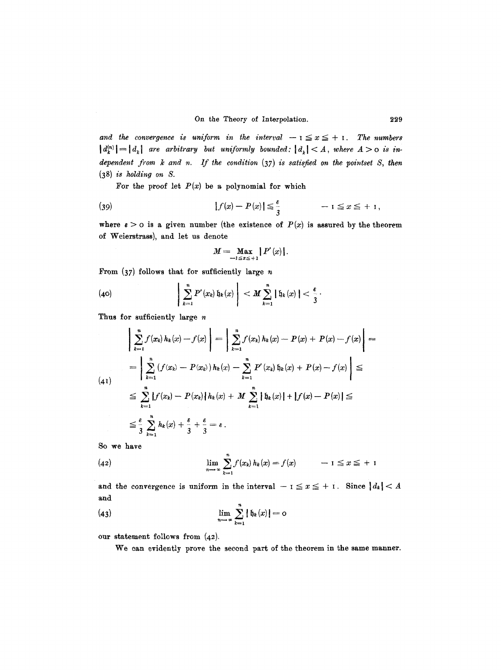and the convergence is uniform in the interval  $-1 \le x \le +1$ . The numbers  $||d_k^{(n)}|| = |d_k|$  are arbitrary but uniformly bounded:  $|d_k| < A$ , where  $A > o$  is in*dependent ~'om k and n. If the condition* (37) *is satisfied on the pointset S, then*  (38) *is holding on S.* 

For the proof let  $P(x)$  be a polynomial for which

(39) 
$$
|f(x)-P(x)| \leq \frac{\varepsilon}{3} \qquad -1 \leq x \leq +1,
$$

where  $\epsilon > 0$  is a given number (the existence of  $P(x)$  is assured by the theorem of Weierstrass), and let us denote

$$
M=\max_{-1\leq x\leq +1}|P'(x)|.
$$

From  $(37)$  follows that for sufficiently large n

(40) 
$$
\left|\sum_{k=1}^n P'(x_k) \mathfrak{h}_k(x)\right| < M \sum_{k=1}^n |\mathfrak{h}_k(x)| < \frac{\epsilon}{3}.
$$

Thus for sufficiently large  $n$ 

$$
\left| \sum_{k=1}^{n} f(x_{k}) h_{k}(x) - f(x) \right| = \left| \sum_{k=1}^{n} f(x_{k}) h_{k}(x) - P(x) + P(x) - f(x) \right| =
$$
\n
$$
= \left| \sum_{k=1}^{n} (f(x_{k}) - P(x_{k})) h_{k}(x) - \sum_{k=1}^{n} P'(x_{k}) \mathfrak{h}_{k}(x) + P(x) - f(x) \right| \le
$$
\n
$$
\leq \sum_{k=1}^{n} |f(x_{k}) - P(x_{k})| h_{k}(x) + M \sum_{k=1}^{n} |\mathfrak{h}_{k}(x)| + |f(x) - P(x)| \le
$$
\n
$$
\leq \frac{\varepsilon}{3} \sum_{k=1}^{n} h_{k}(x) + \frac{\varepsilon}{3} + \frac{\varepsilon}{3} = \varepsilon.
$$

So we have

(42) 
$$
\lim_{n \to \infty} \sum_{k=1}^{n} f(x_k) h_k(x) = f(x) \qquad -1 \leq x \leq +1
$$

and the convergence is uniform in the interval  $- i \leq x \leq + i$ . Since  $|d_k| < A$ and

(43) 
$$
\lim_{n \to \infty} \sum_{k=1}^{n} |b_k(x)| = 0
$$

our statement follows from (42).

We can evidently prove the second part of the theorem in the same manner.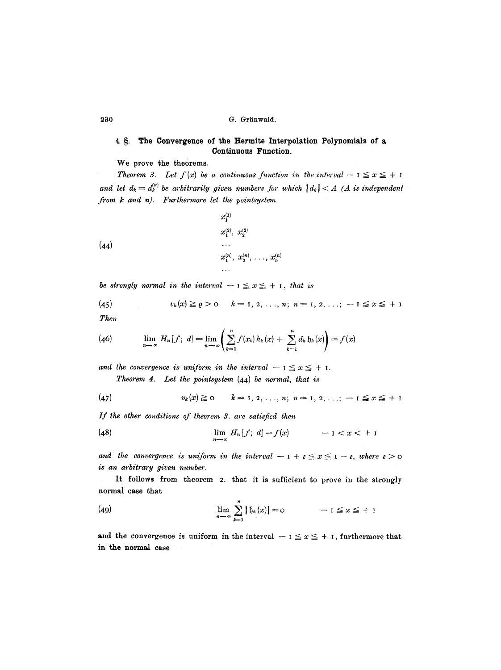### 4 §. The Convergence of the Hermite Interpolation Polynomials of a **Continuous Function.**

We prove the theorems.

**Theorem 3.** Let  $f(x)$  be a continuous function in the interval  $-1 \le x \le +1$ and let  $d_k = d_k^{(n)}$  be arbitrarily given numbers for which  $|d_k| < A$  (A is independent *from k and n). Furthermore let the pointsystem* 

(44)  

$$
x_1^{(1)} \qquad x_2^{(2)}, \ x_2^{(2)} \qquad \ldots
$$

$$
x_1^{(n)}, \ x_2^{(n)}, \ \ldots, \ x_n^{(n)}
$$

$$
\ldots
$$

*be strongly normal in the interval*  $-1 \le x \le +1$ , that is

(45) 
$$
v_k(x) \geq \rho > 0
$$
  $k = 1, 2, ..., n; n = 1, 2, ...; -1 \leq x \leq +1$ 

*Then* 

(46) 
$$
\lim_{n \to \infty} H_n[f; d] = \lim_{n \to \infty} \left( \sum_{k=1}^n f(x_k) h_k(x) + \sum_{k=1}^n d_k \, \mathfrak{h}_k(x) \right) = f(x)
$$

and the convergence is uniform in the interval  $-1 \le x \le +1$ .

*Theorem 4. Let the pointsystem* (44) *be normal, that is* 

(47) 
$$
v_k(x) \ge 0 \qquad k = 1, 2, ..., n; \; n = 1, 2, ..., \; -1 \le x \le +1
$$

*If the other conditions of theorem 3. are satisfied then* 

(48) 
$$
\lim_{n\to\infty} H_n[f; d] = f(x) \qquad -1 < x < +1
$$

*and the convergence is uniform in the interval*  $-1 + \varepsilon \leq x \leq 1 - \varepsilon$ , where  $\varepsilon > 0$ *is an arbitrary given number.* 

It follows from theorem 2. that it is sufficient to prove in the strongly normaI case that

(49) 
$$
\lim_{n \to \infty} \sum_{k=1}^{n} |b_k(x)| = 0 \qquad -1 \le x \le +1
$$

and the convergence is uniform in the interval  $-1 \le x \le +1$ , furthermore that **in the normal ease**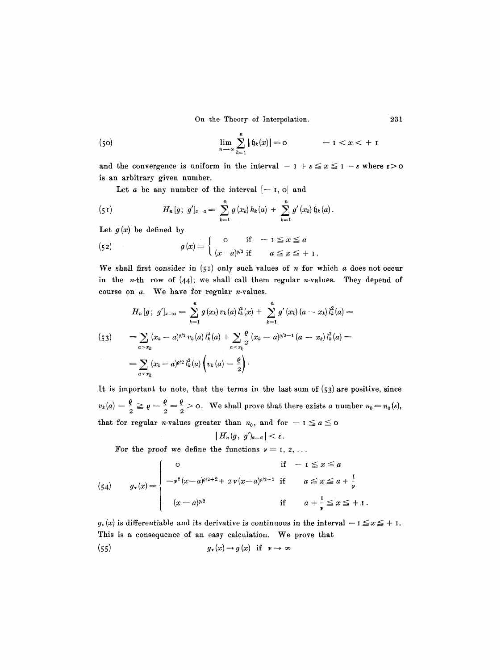On the Theory of Interpolation. 231

(50) 
$$
\lim_{n \to \infty} \sum_{k=1}^{n} |f_k(x)| = 0 \qquad -1 < x < +1
$$

and the convergence is uniform in the interval  $-1+\varepsilon \le x \le 1-\varepsilon$  where  $\varepsilon>0$ is an arbitrary given number.

Let a be any number of the interval  $[-1, 0]$  and

(51) 
$$
H_n[g; g']_{x=a} = \sum_{k=1}^n g(x_k) h_k(a) + \sum_{k=1}^n g'(x_k) \mathfrak{h}_k(a).
$$

Let  $g(x)$  be defined by

(52) 
$$
g(x) = \begin{cases} 0 & \text{if } -1 \leq x \leq a \\ (x-a)^{a/2} & \text{if } a \leq x \leq +1. \end{cases}
$$

We shall first consider in  $(51)$  only such values of n for which a does not occur in the *n*-th row of  $(44)$ ; we shall call them regular *n*-values. They depend of course on  $a$ . We have for regular  $n$ -values.

$$
H_n[g; g']_{x=a} = \sum_{k=1}^n g(x_k) v_k(a) l_k^2(x) + \sum_{k=1}^n g'(x_k) (a - x_k) l_k^2(a) =
$$
  
\n
$$
= \sum_{a > x_k} (x_k - a)^{\rho/2} v_k(a) l_k^2(a) + \sum_{a < x_k} \frac{\rho}{2} (x_k - a)^{\rho/2 - 1} (a - x_k) l_k^2(a) =
$$
  
\n
$$
= \sum_{a < x_k} (x_k - a)^{\rho/2} l_k^2(a) \left( v_k(a) - \frac{\rho}{2} \right).
$$

It is important to note, that the terms in the last sum of  $(53)$  are positive, since  $v_k(a) - \frac{1}{2} \geq \varrho - \frac{1}{2} = \frac{1}{2} > 0$ . We shall prove that there exists a number  $n_0 = n_0(\varepsilon)$ , that for regular *n*-values greater than  $n_0$ , and for  $- I \le a \le a$ 

$$
|H_n(g, g')_{x=a}|<\varepsilon.
$$

For the proof we define the functions  $\nu = 1, 2, ...$ 

(54) 
$$
g_{\nu}(x) = \begin{cases} 0 & \text{if } -1 \leq x \leq a \\ -\nu^{2}(x-a)^{\varrho/2+2} + 2 \nu (x-a)^{\varrho/2+1} & \text{if } a \leq x \leq a + \frac{1}{\nu} \\ (x-a)^{\varrho/2} & \text{if } a + \frac{1}{\nu} \leq x \leq +1. \end{cases}
$$

 $g_r(x)$  is differentiable and its derivative is continuous in the interval  $-1 \le x \le +1$ . This is a consequence of an easy calculation. We prove that (55)  $g_v(x) \rightarrow g(x)$  if  $v \rightarrow \infty$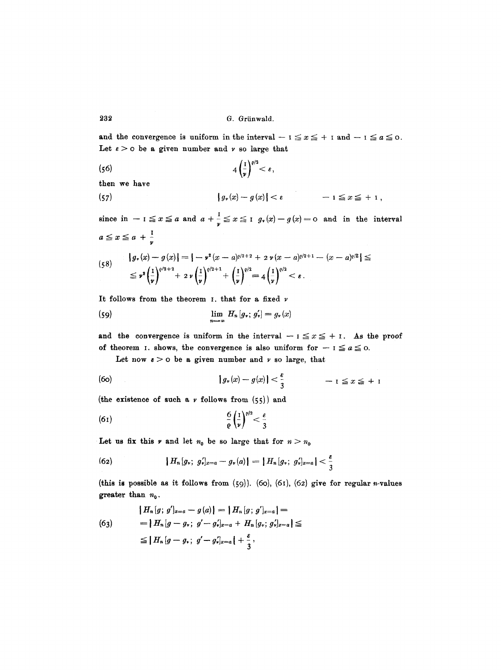and the convergence is uniform in the interval  $-1 \le x \le +1$  and  $-1 \le a \le 0$ . Let  $\varepsilon > 0$  be a given number and  $\nu$  so large that

(56) 
$$
4\left(\frac{1}{\nu}\right)^{\rho/2} < \varepsilon,
$$

then we have

(57) 
$$
|g_{\nu}(x)-g(x)|<\varepsilon \qquad -1 \leq x \leq +1,
$$

since in  $- i \le x \le a$  and  $a + \frac{1}{\gamma} \le x \le i$   $g_r(x) - g(x) = 0$  and in the interval  $a \leq x \leq a + \frac{1}{a}$ 

$$
(58) \qquad |g_r(x) - g(x)| = |-r^2(x-a)^{\varrho/2+2} + 2r(x-a)^{\varrho/2+1} - (x-a)^{\varrho/2}| \le
$$
  

$$
\leq r^2 \left(\frac{1}{r}\right)^{\varrho/2+2} + 2r \left(\frac{1}{r}\right)^{\varrho/2+1} + \left(\frac{1}{r}\right)^{\varrho/2} = 4 \left(\frac{1}{r}\right)^{\varrho/2} < \varepsilon.
$$

It follows from the theorem I. that for a fixed  $\nu$ 

(59) 
$$
\lim_{n \to \infty} H_n[g_r; g'_r] = g_r(x)
$$

and the convergence is uniform in the interval  $-1 \le x \le +1$ . As the proof of theorem I. shows, the convergence is also uniform for  $-1 \le a \le 0$ .

Let now  $\varepsilon > 0$  be a given number and  $\nu$  so large, that

(60) 
$$
|g_{\nu}(x)-g(x)| < \frac{\varepsilon}{3} \qquad -1 \leq x \leq +1
$$

(the existence of such a  $\nu$  follows from (55)) and

$$
\frac{6}{\varrho}\left(\frac{1}{\nu}\right)^{\varrho/2}<\frac{\varepsilon}{3}
$$

Let us fix this  $\nu$  and let  $n_0$  be so large that for  $n > n_0$ 

(62) 
$$
|H_n[g_*; g_*]_{x=a} - g_*(a)| = |H_n[g_*; g_*]_{x=a}| < \frac{\varepsilon}{3}
$$

(this is possible as it follows from  $(59)$ ). (60), (61), (62) give for regular *n*-values greater than  $n_0$ .

$$
\begin{aligned}\n\{H_n[g; g']_{x=a} - g(a)\} &= \{H_n[g; g']_{x=a}\} = \\
&= \{H_n[g - g_*; g' - g_*]_{x=a} + H_n[g_*; g_*]_{x=a}\} \leq \\
&\leq \{H_n[g - g_*; g' - g_*]_{x=a}\} + \frac{\epsilon}{3},\n\end{aligned}
$$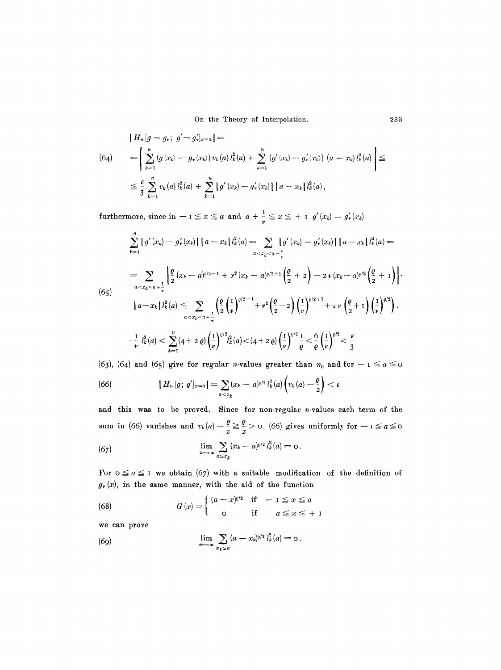On the Theory of Interpolation. 233

$$
\begin{aligned}\n\left| H_n[g - g_v; \ g' - g'_v]_{x=a} \right| &= \\
(64) \qquad &= \left| \sum_{k=1}^n \left( g(x_k) - g_v(x_k) \right) v_k(a) \right|_k^2(a) + \sum_{k=1}^n \left( g'(x_k) - g'_v(x_k) \right) (a - x_k) l_k^2(a) \right| \leq \\
& \leq \frac{\varepsilon}{3} \sum_{k=1}^n v_k(a) l_k^2(a) + \sum_{k=1}^n \left| g'(x_k) - g'_v(x_k) \right| \left| a - x_k \right| l_k^2(a),\n\end{aligned}
$$

furthermore, since in  $-1 \le x \le a$  and  $a + \frac{1}{y} \le x \le +1$   $g'(x_k) = g'_*(x_k)$ 

$$
\sum_{k=1}^{n} |g'(x_k) - g'_\nu(x_k)| \, |a - x_k| \, l_k^2(a) = \sum_{a < x_k < a + \frac{1}{\nu}} |g'(x_k) - g'_\nu(x_k)| \, |a - x_k| \, l_k^2(a) =
$$
\n
$$
= \sum_{a < x_k < a + \frac{1}{\nu}} \left| \frac{\varrho}{2} (x_k - a)^{\varrho/2 - 1} + \nu^2 (x_k - a)^{\varrho/2 + 1} \left( \frac{\varrho}{2} + 2 \right) - 2 \, \nu (x_k - a)^{\varrho/2} \left( \frac{\varrho}{2} + 1 \right) \right|
$$
\n
$$
|a - x_k| \, l_k^2(a) \le \sum_{a < x_k < a + \frac{1}{\nu}} \left( \frac{\varrho}{2} \left( \frac{1}{\nu} \right)^{\varrho/2 - 1} + \nu^2 \left( \frac{\varrho}{2} + 2 \right) \left( \frac{1}{\nu} \right)^{\varrho/2 + 1} + 2 \, \nu \left( \frac{\varrho}{2} + 1 \right) \left( \frac{1}{\nu} \right)^{\varrho/2} \right).
$$
\n
$$
\cdot \frac{1}{\nu} \, l_k^2(a) < \sum_{k=1}^{n} (4 + 2 \, \varrho) \left( \frac{1}{\nu} \right)^{\varrho/2} l_k^2(a) < (4 + 2 \, \varrho) \left( \frac{1}{\nu} \right)^{\varrho/2} \frac{1}{\varrho} < \frac{6}{\varrho} \left( \frac{1}{\nu} \right)^{\varrho/2} < \frac{\varepsilon}{3}
$$

(63), (64) and (65) give for regular *n*-values greater than  $n_0$  and for  $- I \le a \le a$ 

(66) 
$$
|H_n[g; g']_{x=a}| = \sum_{a < x_k} (x_k - a)^{\rho/2} l_k^2(a) \left(v_k(a) - \frac{\rho}{2}\right) < \varepsilon
$$

and this was to be proved. Since for non-regular  $n$ -values each term of the sum in (66) vanishes and  $v_k(a) - \frac{s}{2} \geq \frac{s}{2} > 0$ , (66) gives uniformly for  $-1 \leq a \leq 0$ 

(67) 
$$
\lim_{n \to \infty} \sum_{a \leq x_k} (x_k - a)^{a/2} l_k^2(a) = 0.
$$

For  $0 \le a \le 1$  we obtain (67) with a suitable modification of the definition of  $g_r(x)$ , in the same manner, with the aid of the function

(68) 
$$
G(x) = \begin{cases} (a-x)^{\varrho/2} & \text{if } -1 \leq x \leq a \\ 0 & \text{if } a \leq x \leq +1 \end{cases}
$$

we can prove

(69) 
$$
\lim_{n \to \infty} \sum_{x_k \leq a} (a - x_k)^{a/2} l_k^2(a) = 0.
$$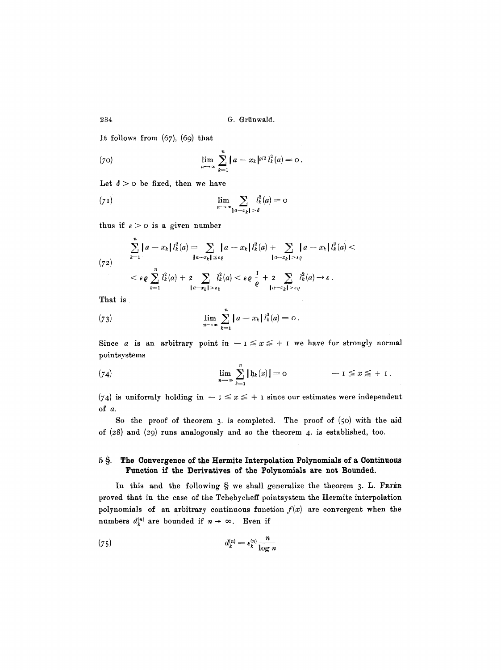It follows from  $(67)$ ,  $(69)$  that

(70) 
$$
\lim_{n \to \infty} \sum_{k=1}^{n} |a - x_k|^{p/2} l_k^2(a) = 0.
$$

Let  $\delta > 0$  be fixed, then we have

(71) 
$$
\lim_{n \to \infty} \sum_{|a-x_k| > \delta} l_k^2(a) = 0
$$

thus if  $\varepsilon > 0$  is a given number

$$
\sum_{k=1}^{n} |a-x_k| \, l_k^2(a) = \sum_{\substack{a-x_k \mid a \in e}} |a-x_k| \, l_k^2(a) + \sum_{\substack{a-x_k \mid a \in e}} |a-x_k| \, l_k^2(a) \n<\varepsilon \varrho \sum_{k=1}^{n} l_k^2(a) + 2 \sum_{\substack{a-x_k \mid a \in e}} l_k^2(a) < \varepsilon \varrho \frac{1}{\varrho} + 2 \sum_{\substack{a-x_k \mid a \in e}} l_k^2(a) \to \varepsilon.
$$

That is

(73) 
$$
\lim_{n \to \infty} \sum_{k=1}^{n} |a - x_k| l_k^2(a) = 0.
$$

Since a is an arbitrary point in  $-1 \le x \le +1$  we have for strongly normal pointsystems

(74) 
$$
\lim_{n \to \infty} \sum_{k=1}^{n} | \mathfrak{h}_k(x) | = 0 \qquad -1 \leq x \leq +1.
$$

(74) is uniformly holding in  $- i \le x \le + i$  since our estimates were independent of a.

So the proof of theorem 3. is completed. The proof of (5o) with the aid of (28) and (29) runs analogously and so the theorem 4. is established, too.

### 5 §. The Convergence of the Hermite Interpolation Polynomials of a Continuous **Function if the Derivatives of the Polynomials are not Bounded.**

In this and the following  $\S$  we shall generalize the theorem 3. L. FEJER proved that in the case of the Tchebycheff pointsystem the Hermite interpolation polynomials of an arbitrary continuous function  $f(x)$  are convergent when the numbers  $d_k^{(n)}$  are bounded if  $n \to \infty$ . Even if

$$
d_k^{(n)} = \epsilon_k^{(n)} \frac{n}{\log n}
$$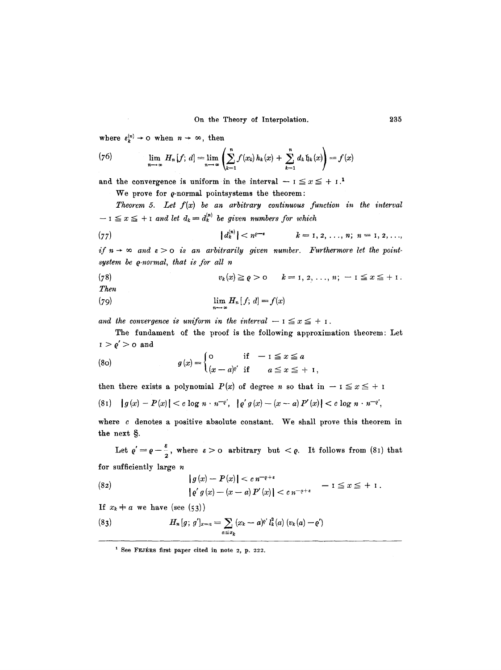where  $\varepsilon_k^{(n)} \to \infty$  when  $n \to \infty$ , then

(76) 
$$
\lim_{n \to \infty} H_n[f; d] = \lim_{n \to \infty} \left( \sum_{k=1}^n f(x_k) h_k(x) + \sum_{k=1}^n d_k \, \mathfrak{h}_k(x) \right) = f(x)
$$

and the convergence is uniform in the interval  $-1 \le x \le +1$ .<sup>1</sup>

We prove for  $\rho$ -normal pointsystems the theorem:

*Theorem 5. Let*  $f(x)$  be an arbitrary continuous function in the interval  $-1 \le x \le +1$  and let  $d_k = d_k^{(n)}$  be given numbers for which

(77) 
$$
|d_k^{(n)}| < n^{\rho-\epsilon}
$$
  $k = 1, 2, ..., n; n = 1, 2, ...,$ 

*if*  $n \rightarrow \infty$  and  $\epsilon > 0$  *is an arbitrarily given number. Furthermore let the pointsystem be q-normal, that is for all n* 

(78) 
$$
v_k(x) \geq \varrho > 0 \qquad k = 1, 2, ..., n; -1 \leq x \leq +1.
$$
 Then

(79) 
$$
\lim_{n \to \infty} H_n[f; d] = f(x)
$$

and the convergence is uniform in the interval  $-1 \le x \le +1$ .

The fundament of the proof is the following approximation theorem: Let  $I > \varrho' > 0$  and

(80) 
$$
g(x) = \begin{cases} 0 & \text{if } -1 \leq x \leq a \\ (x-a)^{a'} & \text{if } a \leq x \leq +1, \end{cases}
$$

then there exists a polynomial  $P(x)$  of degree n so that in  $-1 \le x \le +1$ 

$$
(81) \quad |g(x) - P(x)| < c \log n \cdot n^{-e'}, \quad |e' g(x) - (x - a) P'(x)| < c \log n \cdot n^{-e'},
$$

where  $c$  denotes a positive absolute constant. We shall prove this theorem in the next §.

Let  $\varrho'=\varrho-\frac{\varepsilon}{2}$ , where  $\varepsilon>0$  arbitrary but  $\langle \varrho$ . It follows from (81) that for sufficiently large  $n$ 

(82) 
$$
|g(x) - P(x)| < c n^{-\varrho + \varepsilon} \qquad -1 \le x \le + 1.
$$

$$
|e' g(x) - (x - a) P'(x)| < c n^{-\varrho + \varepsilon} \qquad -1 \le x \le + 1.
$$

If  $x_k \neq a$  we have (see (53))

(83) 
$$
H_n[g; g']_{x=a} = \sum_{a \leq x_k} (x_k - a)^{e'} l_k^2(a) (v_k(a) - e')
$$

 $1$  See FEJERS first paper cited in note 2, p. 222.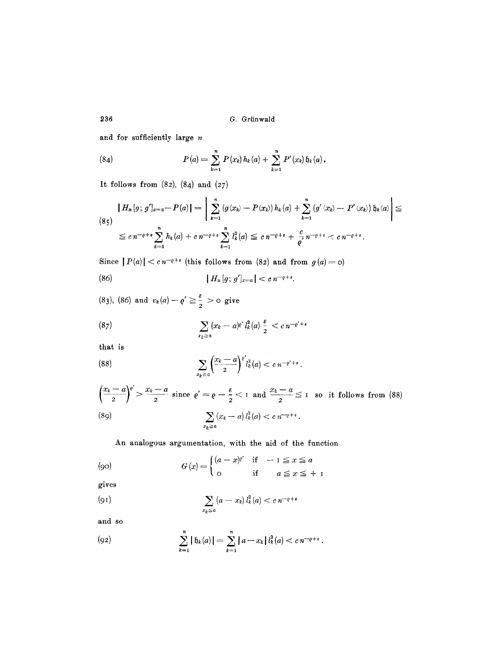and for sufficiently large n

(84) 
$$
P(a) = \sum_{k=1}^{n} P(x_k) h_k(a) + \sum_{k=1}^{n} P'(x_k) \mathfrak{h}_k(a).
$$

It follows from  $(82)$ ,  $(84)$  and  $(27)$ 

$$
\begin{aligned} |H_n[g; \, g']_{x=a} - P(a)| &= \left| \sum_{k=1}^n \left( g(x_k) - P(x_k) \right) h_k(a) + \sum_{k=1}^n \left( g'(x_k) - P'(x_k) \right) \mathfrak{h}_k(a) \right| \leq \\ &\leq c \, n^{-\varrho+\epsilon} \sum_{k=1}^n h_k(a) + c \, n^{-\varrho+\epsilon} \sum_{k=1}^n l_k^2(a) \leq c \, n^{-\varrho+\epsilon} + \frac{c}{\varrho'} \, n^{-\varrho+\epsilon} < c \, n^{-\varrho+\epsilon}. \end{aligned}
$$

Since  $|P(a)| < c n^{-\varrho+\varepsilon}$  (this follows from  $(82)$  and from  $g(a) = o$ )

(86) 
$$
| H_n[g; g']_{x=a} | < c \, n^{-\varrho + \epsilon}.
$$

(83), (86) and  $v_k(a) - e' \ge \frac{3}{2} > 0$  give

(87) 
$$
\sum_{x_k \geq a} (x_k - a)^{e'} l_k^2(a) \frac{\varepsilon}{2} < c n^{-e'+\varepsilon}
$$

that is

(88) 
$$
\sum_{x_k \geq a} \left( \frac{x_k-a}{2} \right)^{e'} l_k^2(a) < c n^{-e'+\epsilon}.
$$

$$
\left(\frac{x_k-a}{2}\right)^{\varrho'} > \frac{x_k-a}{2} \text{ since } \varrho' = \varrho - \frac{\epsilon}{2} < 1 \text{ and } \frac{x_k-a}{2} \le 1 \text{ so it follows from (88)}
$$
\n
$$
\sum_{x_k \ge a} (x_k-a) \, l_k^2(a) < c \, n^{-\varrho+\epsilon}.
$$

An analogous argumentation, with the aid of the function

$$
(90) \tG(x) = \begin{cases} (a-x)^{p'} & \text{if } -1 \le x \le a \\ 0 & \text{if } a \le x \le +1 \end{cases}
$$

gives

$$
\sum_{x_k \leq a} (a - x_k) l_k^2(a) < c \, n^{-\varrho + \varepsilon}
$$

and so

(92) 
$$
\sum_{k=1}^{n} |f_{k}(a)| = \sum_{k=1}^{n} |a-x_{k}| l_{k}^{2}(a) < cn^{-\rho+\epsilon}.
$$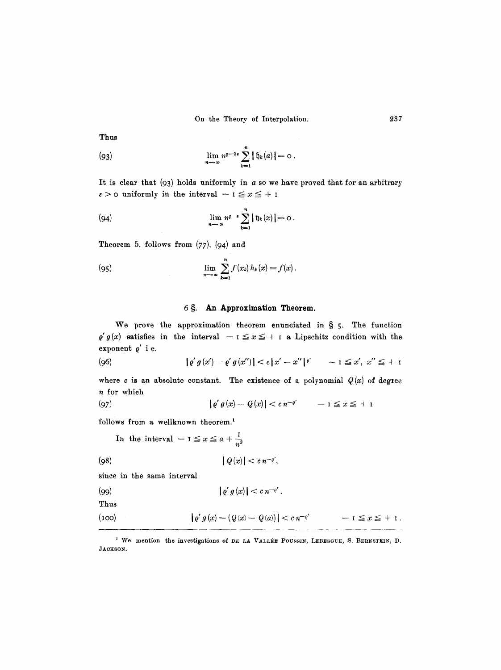Thus

(93) 
$$
\lim_{n \to \infty} n^{p-2} \sum_{k=1}^{n} |f_{k}(a)| = 0.
$$

It is clear that  $(93)$  holds uniformly in a so we have proved that for an arbitrary  $\varepsilon > 0$  uniformly in the interval  $-1 \le x \le +1$ 

(94) 
$$
\lim_{n \to \infty} n^{q-\epsilon} \sum_{k=1}^n |\mathfrak{y}_k(x)| = 0.
$$

Theorem 5. follows from *(77),* (94) and

(95) 
$$
\lim_{n \to \infty} \sum_{k=1}^{n} f(x_k) h_k(x) = f(x).
$$

#### 6 §. An Approximation Theorem.

We prove the approximation theorem enunciated in  $\S$  5. The function  $\varrho' g(x)$  satisfies in the interval  $- i \le x \le + i$  a Lipschitz condition with the exponent  $\rho'$  i e.

$$
|\varrho' g(x') - \varrho' g(x'')| < c|x' - x''|^{e'} \quad -1 \leq x', \ x'' \leq +1
$$

where c is an absolute constant. The existence of a polynomial  $Q(x)$  of degree n for which

$$
|\varrho' g(x) - Q(x)| < c \, n^{-\varrho'} \qquad -1 \le x \le +1
$$

follows from a wellknown theorem.<sup>1</sup>

In the interval 
$$
-1 \le x \le a + \frac{1}{n^3}
$$
  
(98)  
 $|Q(x)| < c n^{-e'},$   
since in the same interval

$$
|\varrho' g(x)| < c \, n^{-\varrho'}.
$$

Thus

(100) 
$$
|e'g(x) - (Q(x) - Q(a))| < c n^{-e'} \qquad -1 \leq x \leq +1.
$$

<sup>&</sup>lt;sup>1</sup> We mention the investigations of DE LA VALLEE POUSSIN, LEBESGUE, S. BERNSTEIN, D. JACKSON.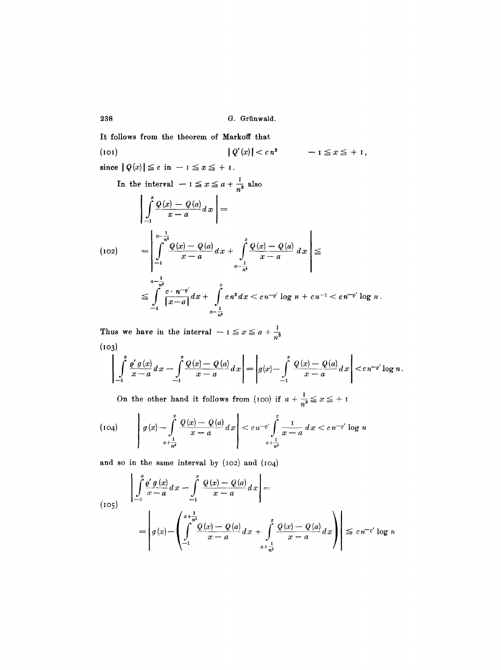238 G. Grünwald.

It follows from the theorem of Markoff that (IOI)  $|Q'(x)| < c n^2$  $-1 \leq x \leq +1$ , since  $|Q(x)| \leq c$  in  $-1 \leq x \leq +1$ . In the interval  $-1 \le x \le a + \frac{1}{a}$  also  $\left| \int_{0}^{x} \frac{Q(x) - Q(a)}{x - a} dx \right| =$ (IO2) *n ~*   $= | \int \frac{\Psi(x) - \Psi(u)}{\Psi(x)} dx + | \Psi(x) - \Psi(u)$ *dx*   $x-a$   $J_x-a$ *a-- n~ 1*   $n^s$  $\leq \int_{-1}^{1} \frac{e^{-(x-x)}}{|x-a|} dx + \int_{1}^{1} c n^2 dx < c n^{-e'} \log n + c n^{-1} < c n^{-e'} \log n.$  $n^8$ 

Thus we have in the interval  $-1 \le x \le a + \frac{1}{n^3}$  $(103)$ 

$$
\left| \int_{-1}^{x} \frac{\varrho' g(x)}{x-a} dx - \int_{-1}^{x} \frac{Q(x) - Q(a)}{x-a} dx \right| = \left| g(x) - \int_{-1}^{x} \frac{Q(x) - Q(a)}{x-a} dx \right| < c n^{-\varrho'} \log n.
$$

On the other hand it follows from (100) if  $a + \frac{1}{a} \le x \le +1$ 

(104) 
$$
\left| g(x) - \int_{a + \frac{1}{n^3}}^{x} \frac{Q(x) - Q(a)}{x - a} dx \right| < c n^{-e'} \int_{a + \frac{1}{n^3}}^{x} \frac{1}{x - a} dx < c n^{-e'} \log n
$$

and so in the same interval by (102) and (104)

(105)
$$
\left| \int_{-1}^{x} \frac{\varrho' g(x)}{x - a} dx - \int_{-1}^{x} \frac{Q(x) - Q(a)}{x - a} dx \right| =
$$

$$
= \left| g(x) - \left( \int_{-1}^{a + \frac{1}{n^3}} \frac{Q(x) - Q(a)}{x - a} dx + \int_{a + \frac{1}{n^3}}^{x} \frac{Q(x) - Q(a)}{x - a} dx \right) \right| \leq c n^{-\varrho'} \log n
$$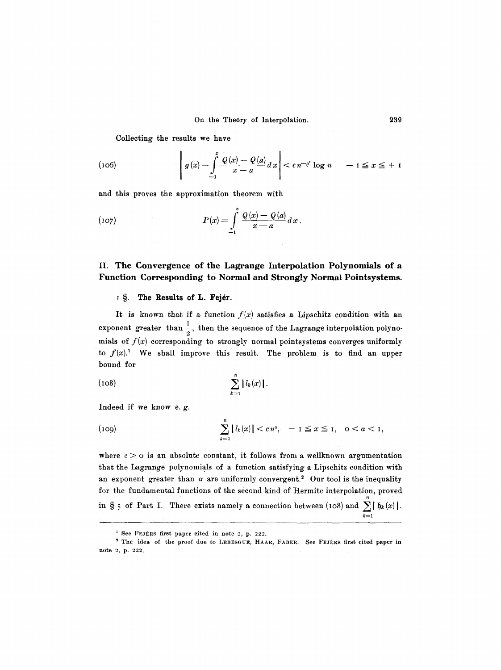Collecting the results we have

(106) 
$$
g(x) - \int_{-1}^{x} \frac{Q(x) - Q(a)}{x - a} dx  $e n^{-e'} \log n - 1 \le x \le +1$
$$

and this proves the approximation theorem with

(107) 
$$
P(x) = \int_{-1}^{x} \frac{Q(x) - Q(a)}{x - a} dx.
$$

## II. The Convergence of the Lagrange Interpolation Polynomials of a Function Corresponding to Normal and Strongly Normal Pointsystems.

#### 1 S. The Results of L. Fejér.

It is known that if a function  $f(x)$  satisfies a Lipschitz condition with an exponent greater than  $\frac{1}{2}$ , then the sequence of the Lagrange interpolation polynomials of  $f(x)$  corresponding to strongly normal pointsystems converges uniformly to  $f(x)$ .<sup>1</sup> We shall improve this result. The problem is to find an upper bound for

(108) 
$$
\sum_{k=1}^{n} |l_k(x)|.
$$

Indeed if we know e. g.

(109) 
$$
\sum_{k=1}^n |l_k(x)| < c n^{\alpha}, \quad -1 \leq x \leq 1, \quad 0 < \alpha < 1,
$$

where  $c > o$  is an absolute constant, it follows from a wellknown argumentation that the Lagrange polynomials of a function satisfying a Lipschitz condition with an exponent greater than  $\alpha$  are uniformly convergent.<sup>2</sup> Our tool is the inequality for the fundamental functions of the second kind of Hermite interpolation, proved n in  $S_5$  of Part I. There exists namely a connection between (108) and  $\sum_{k} |b_k(x)|$ .  $k=$ 

**239** 

 $^1$  See FEJÉRS first paper cited in note 2, p. 222.

 $^2$  The idea of the proof due to LEBESGUE, HAAR, FABER. See FEJÉRS first cited paper in note 2, p. 222.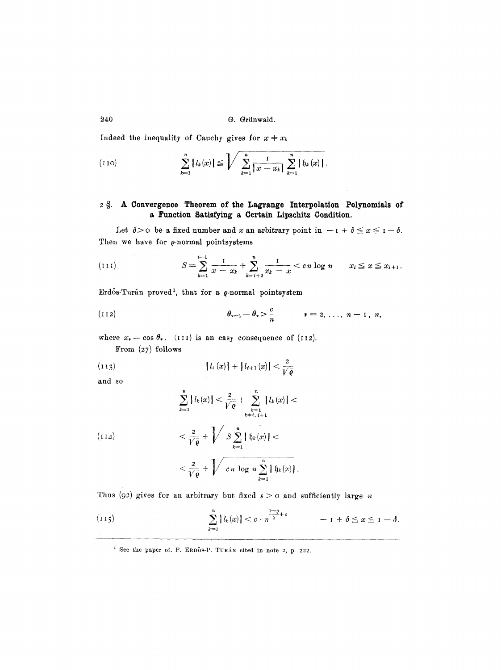#### **#40 G. Griinwald.**

Indeed the inequality of Cauchy gives for  $x \neq x_k$ 

(110) 
$$
\sum_{k=1}^{n} |l_{k}(x)| \leq \sqrt{\sum_{k=1}^{n} \frac{1}{|x - x_{k}|} \sum_{k=1}^{n} |b_{k}(x)|}.
$$

### **2 w A Convergence Theorem of the Lagrange Interpolation Polynomials of a Function Satisfying & Certain Lipschitz Condition.**

Let  $\delta$ > $\circ$  be a fixed number and x an arbitrary point in  $-1 + \delta \le x \le 1-\delta$ . Then we have for  $\rho$ -normal pointsystems

(111) 
$$
S = \sum_{k=1}^{i-1} \frac{1}{x - x_k} + \sum_{k=i+2}^{n} \frac{1}{x_k - x} < cn \log n \qquad x_i \leq x \leq x_{i+1}.
$$

Erdős-Turán proved<sup>1</sup>, that for a *q*-normal pointsystem

(112) 
$$
\theta_{\nu-1} - \theta_{\nu} > \frac{c}{n}
$$
  $\nu = 2, ..., n-1, n,$ 

where  $x_v = \cos \theta_v$ . (111) is an easy consequence of (112). **From** *(27)* **follows** 

(113) 
$$
|l_i(x)| + |l_{i+1}(x)| < \frac{2}{\sqrt{\rho}}
$$

**and so** 

$$
\sum_{k=1}^{n} |l_{k}(x)| < \frac{2}{\sqrt{\varrho}} + \sum_{\substack{k=1 \ k \neq i, i+1}}^{n} |l_{k}(x)| < \frac{2}{\sqrt{\varrho}} + \sqrt{S \sum_{k=1}^{n} |b_{k}(x)|} < \frac{2}{\sqrt{\varrho}} + \sqrt{S \sum_{k=1}^{n} |b_{k}(x)|} < \frac{2}{\sqrt{\varrho}} + \frac{2}{\sqrt{\varrho}} + \frac{2}{\sqrt{\varrho}} + \frac{2}{\sqrt{\varrho}} + \frac{2}{\sqrt{\varrho}} + \frac{2}{\sqrt{\varrho}} + \frac{2}{\sqrt{\varrho}} + \frac{2}{\sqrt{\varrho}} + \frac{2}{\sqrt{\varrho}} + \frac{2}{\sqrt{\varrho}} + \frac{2}{\sqrt{\varrho}} + \frac{2}{\sqrt{\varrho}} + \frac{2}{\sqrt{\varrho}} + \frac{2}{\sqrt{\varrho}} + \frac{2}{\sqrt{\varrho}} + \frac{2}{\sqrt{\varrho}} + \frac{2}{\sqrt{\varrho}} + \frac{2}{\sqrt{\varrho}} + \frac{2}{\sqrt{\varrho}} + \frac{2}{\sqrt{\varrho}} + \frac{2}{\sqrt{\varrho}} + \frac{2}{\sqrt{\varrho}} + \frac{2}{\sqrt{\varrho}} + \frac{2}{\sqrt{\varrho}} + \frac{2}{\sqrt{\varrho}} + \frac{2}{\sqrt{\varrho}} + \frac{2}{\sqrt{\varrho}} + \frac{2}{\sqrt{\varrho}} + \frac{2}{\sqrt{\varrho}} + \frac{2}{\sqrt{\varrho}} + \frac{2}{\sqrt{\varrho}} + \frac{2}{\sqrt{\varrho}} + \frac{2}{\sqrt{\varrho}} + \frac{2}{\sqrt{\varrho}} + \frac{2}{\sqrt{\varrho}} + \frac{2}{\sqrt{\varrho}} + \frac{2}{\sqrt{\varrho}} + \frac{2}{\sqrt{\varrho}} + \frac{2}{\sqrt{\varrho}} + \frac{2}{\sqrt{\varrho}} + \frac{2}{\sqrt{\varrho}} + \frac{2}{\sqrt{\varrho}} + \frac{2}{\sqrt{\varrho}} + \frac{2}{\sqrt{\varrho}} + \frac{2}{\sqrt{\varrho}} + \frac{2}{\sqrt{\varrho}} + \frac{2}{\sqrt{\varrho}} + \frac{2}{\sqrt{\varrho}} + \frac{2}{\sqrt{\varrho}} + \frac{2}{\sqrt{\varrho}} + \frac{2}{\sqrt{\varrho}} + \frac{2}{\sqrt{\varrho}} + \frac{2}{
$$

$$
< \frac{2}{\sqrt[p]{\varrho}} + \sqrt{cn \log n \sum_{k=1}^n |f_k(x)|}.
$$

Thus (92) gives for an arbitrary but fixed  $\varepsilon > 0$  and sufficiently large *n* 

(115) 
$$
\sum_{k=1}^{n} |l_k(x)| < c \cdot n^{\frac{1-\rho}{2}+\epsilon} - 1 + \delta \leq x \leq 1 - \delta.
$$

<sup>&</sup>lt;sup>1</sup> See the paper of. P. ERDOS-P. TURAN cited in note 2, p. 222.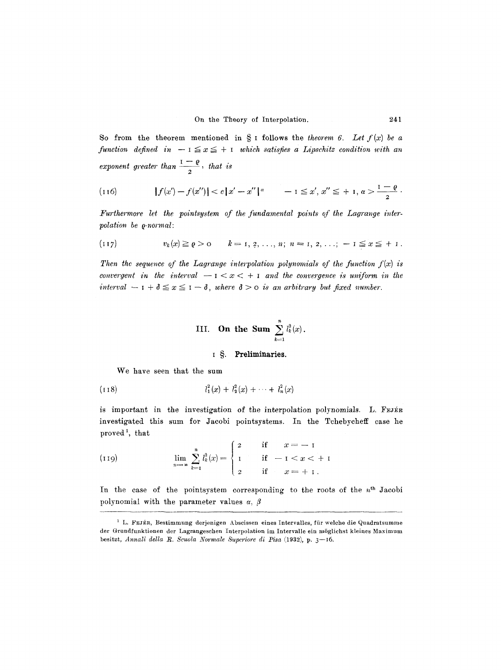So from the theorem mentioned in  $\S$  i follows the *theorem 6.* Let  $f(x)$  be a  $f$ unction defined in  $-1 \le x \le +1$  which satisfies a Lipschitz condition with an exponent greater than  $\frac{1}{2}$ , that is

(116) 
$$
|f(x') - f(x'')| < c |x' - x''|^\alpha - 1 \leq x', x'' \leq + 1, \alpha > \frac{1 - \varrho}{2}.
$$

*Furthermore let the pointsystem of the fundamental points of the Lagrange interpolation be Q-normal:* 

$$
(117) \t v_k(x) \geq \varrho > 0 \t k = 1, 2, ..., n; n = 1, 2, ...; -1 \leq x \leq +1.
$$

Then the sequence of the Lagrange interpolation polynomials of the function  $f(x)$  is *convergent in the interval*  $-1 < x < +1$  and the *convergence is uniform in the interval*  $-1 + \delta \leq x \leq 1 - \delta$ , where  $\delta > 0$  is an arbitrary but fixed number.

III. On the Sum 
$$
\sum_{k=1}^{n} l_k^2(x)
$$
.

#### **i** §. Preliminaries.

We have seen that the sum

$$
(118) \t\t\t l_1^2(x) + l_2^2(x) + \cdots + l_n^2(x)
$$

is important in the investigation of the interpolation polynomials. L. FEJER investigated this sum for Jacobi pointsystems. In the Tchebycheff case he proved<sup>1</sup>, that

(119) 
$$
\lim_{n \to \infty} \sum_{k=1}^{n} l_k^2(x) = \begin{cases} 2 & \text{if } x = -1 \\ 1 & \text{if } -1 < x < +1 \\ 2 & \text{if } x = +1. \end{cases}
$$

In the case of the pointsystem corresponding to the roots of the  $n<sup>th</sup>$  Jacobi polynomial with the parameter values  $\alpha$ ,  $\beta$ 

 $<sup>1</sup>$  L. FEJÉR, Bestimmung derjenigen Abscissen eines Intervalles, für welche die Quadratsumme</sup> der Grundfunktionen der Lagrangeschen Interpolation im Intervalle ein möglichst kleines Maximum besitzt, *Annali della R. Scuola Normale Superiore di Pisa* (1932), p. 3-16.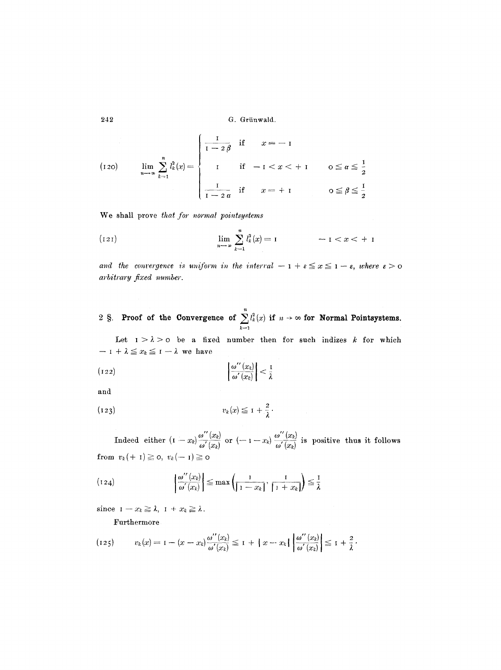$$
(120) \quad \lim_{n \to \infty} \sum_{k=1}^{n} l_k^2(x) = \begin{cases} \frac{1}{1 - 2\beta} & \text{if } x = -1 \\ 1 & \text{if } -1 < x < +1 \\ 0 & \text{if } x = +1 \end{cases} \quad 0 \leq \alpha \leq \frac{1}{2}
$$

We shall prove *that for normal pointsystems* 

(121) 
$$
\lim_{n \to \infty} \sum_{k=1}^{n} l_k^2(x) = 1 \qquad -1 < x < +1
$$

*and the convergence is uniform in the interral - 1 +*  $\varepsilon \leq x \leq 1 - \varepsilon$ *, where*  $\varepsilon > 0$ *arbitrary fixed number.* 

2  $\Im$ . Proof of the Convergence of  $\sum l_k^2(x)$  if  $n \to \infty$  for Normal Pointsystems.  $k=1$ 

Let  $1 > \lambda > o$  be a fixed number then for such indizes k for which  $-1 + \lambda \leq x_k \leq 1 - \lambda$  we have

$$
\left| \frac{\omega''(x_k)}{\omega'(x_k)} \right| < \frac{1}{\lambda}
$$

and

$$
(123) \t v_k(x) \leq 1 + \frac{2}{\lambda}.
$$

Indeed either  $(I-x_k)\frac{\omega}{\omega'(x_k)}$  or  $(-I-x_k)\frac{\omega'(x_k)}{\omega'(x_k)}$  is positive thus it follows from  $v_k(+1) \geq 0$ ,  $v_k(-1) \geq 0$ 

$$
(124) \qquad \left|\frac{\omega''(x_k)}{\omega'(x_k)}\right| \leq \max\left(\frac{1}{|1-x_k|}, \frac{1}{|1+x_k|}\right) \leq \frac{1}{\lambda}
$$

since  $I-x_k \geq \lambda$ ,  $I + x_k \geq \lambda$ .

Furthermore

$$
(125) \t v_k(x) = 1 - (x - x_k) \frac{\omega''(x_k)}{\omega'(x_k)} \leq 1 + |x - x_k| \left| \frac{\omega''(x_k)}{\omega'(x_k)} \right| \leq 1 + \frac{2}{\lambda}.
$$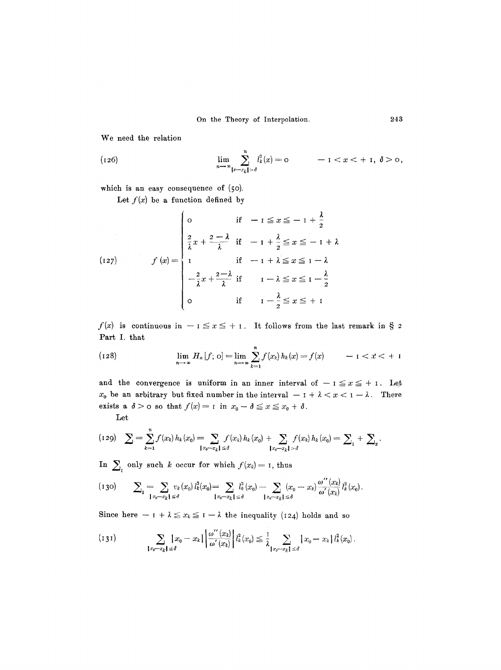We need the relation

(126) 
$$
\lim_{n \to \infty} \sum_{|x - x_k| > \delta}^n l_k^2(x) = 0 \qquad -1 < x < +1, \ \delta > 0,
$$

which is an easy consequence of (50).

Let  $f(x)$  be a function defined by

(127) 
$$
f(x) = \begin{cases} 0 & \text{if } -1 \leq x \leq -1 + \frac{\lambda}{2} \\ \frac{2}{\lambda}x + \frac{2-\lambda}{\lambda} & \text{if } -1 + \frac{\lambda}{2} \leq x \leq -1 + \lambda \\ 1 & \text{if } -1 + \lambda \leq x \leq 1 - \lambda \\ -\frac{2}{\lambda}x + \frac{2-\lambda}{\lambda} & \text{if } 1 - \lambda \leq x \leq 1 - \frac{\lambda}{2} \\ 0 & \text{if } 1 - \frac{\lambda}{2} \leq x \leq +1 \end{cases}
$$

 $f(x)$  is continuous in  $-1 \le x \le +1$ . It follows from the last remark in § 2 Part I. that

(128) 
$$
\lim_{n \to \infty} H_n[f; o] = \lim_{n \to \infty} \sum_{k=1}^n f(x_k) h_k(x) = f(x) \qquad -1 < x < +1
$$

and the convergence is uniform in an inner interval of  $-1 \le x \le +1$ . Let  $x_0$  be an arbitrary but fixed number in the interval  $-1 + \lambda < x < 1 - \lambda$ . There exists a  $\delta > 0$  so that  $f(x) = 1$  in  $x_0 - \delta \le x \le x_0 + \delta$ .

Let

$$
(129)\quad \sum_{k=1}^n f(x_k) h_k(x_0) = \sum_{\substack{x_0 - x_k \mid \leq \delta}} f(x_k) h_k(x_0) + \sum_{\substack{x_0 - x_k \mid > \delta}} f(x_k) h_k(x_0) = \sum_{\substack{1 \\ 1 \leq k \leq \delta}} f(x_k) h_k(x_0) = \sum_{\substack{1 \\ 1 \leq k \leq \delta}} f(x_k) h_k(x_0) = \sum_{\substack{1 \\ 1 \leq k \leq \delta}} f(x_k) h_k(x_0) = \sum_{\substack{1 \\ 1 \leq k \leq \delta}} f(x_k) h_k(x_0) = \sum_{\substack{1 \\ 1 \leq k \leq \delta}} f(x_k) h_k(x_0) = \sum_{\substack{1 \\ 1 \leq k \leq \delta}} f(x_k) h_k(x_0) = \sum_{\substack{1 \\ 1 \leq k \leq \delta}} f(x_k) h_k(x_0) = \sum_{\substack{1 \\ 1 \leq k \leq \delta}} f(x_k) h_k(x_0) = \sum_{\substack{1 \\ 1 \leq k \leq \delta}} f(x_k) h_k(x_0) = \sum_{\substack{1 \\ 1 \leq k \leq \delta}} f(x_k) h_k(x_0) = \sum_{\substack{1 \\ 1 \leq k \leq \delta}} f(x_k) h_k(x_0) = \sum_{\substack{1 \\ 1 \leq k \leq \delta}} f(x_k) h_k(x_0) = \sum_{\substack{1 \\ 1 \leq k \leq \delta}} f(x_k) h_k(x_0) = \sum_{\substack{1 \\ 1 \leq k \leq \delta}} f(x_k) h_k(x_0) = \sum_{\substack{1 \\ 1 \leq k \leq \delta}} f(x_k) h_k(x_0) = \sum_{\substack{1 \\ 1 \leq k \leq \delta}} f(x_k) h_k(x_0) = \sum_{\substack{1 \\ 1 \leq k \leq \delta}} f(x_k) h_k(x_0) = \sum_{\substack{1 \\ 1 \leq k \leq \delta}} f(x_k) h_k(x_0) = \sum_{\substack{1 \\ 1 \leq k \leq \delta}} f(x_k) h_k(x_0) = \sum_{\substack{1 \\ 1 \leq k \leq \delta}} f(x_k) h_k(x_0) = \sum_{\substack{1 \\ 1 \leq k \leq \delta}} f(x_k) h_k(x_0) = \sum
$$

In  $\sum_{k=1}^{\infty}$  only such *k* occur for which  $f(x_k) = 1$ , thus

$$
(130) \qquad \sum_{i} \sum_{\mathbf{l} x_0 - x_k \mathbf{l} \leq \delta} v_k(x_0) l_k^2(x_0) = \sum_{\mathbf{l} x_0 - x_k \mathbf{l} \leq \delta} l_k^2(x_0) - \sum_{\mathbf{l} x_0 - x_k \mathbf{l} \leq \delta} (x_0 - x_k) \frac{\omega''(x_k)}{\omega'(x_k)} l_k^2(x_0).
$$

Since here  $- I + \lambda \leq x_k \leq I - \lambda$  the inequality (124) holds and so

$$
(131) \qquad \qquad \sum_{|x_0 - x_k| \leq \delta} |x_0 - x_k| \left| \frac{\omega''(x_k)}{\omega'(x_k)} \right| l_k^2(x_0) \leq \frac{1}{\lambda} \sum_{|x_0 - x_k| \leq \delta} |x_0 - x_k| l_k^2(x_0).
$$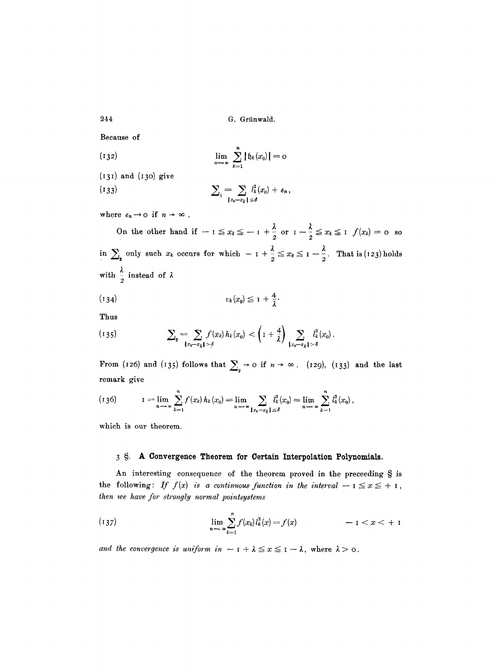Because of

(132) 
$$
\lim_{n \to \infty} \sum_{k=1}^{n} | \mathfrak{h}_k(x_0) | = 0
$$

 $(131)$  and  $(130)$  give (133)  $\sum_{k=1}^{\infty} \sum_{k=1}^{\infty} l_{k}(x_0) + \varepsilon_n,$ 

where  $\varepsilon_n \rightarrow o \text{ if } n \rightarrow \infty$  .

On the other hand if  $-1 \le x_k \le -1 + \frac{1}{2}$  or  $1-\frac{1}{2} \le x_k \le 1$   $f(x_k)=0$  so in  $\sum_{n=2}^{\infty}$  only such  $x_k$  occurs for which  $-1 + \frac{\pi}{2} \le x_k \le 1 - \frac{\pi}{2}$ . That is (123) holds with  $\frac{1}{2}$  instead of

 $|x_0-x_k| \le d$ 

$$
(134) \t v_k(x_0) \leq 1 + \frac{4}{\lambda}.
$$

Thus

(135) 
$$
\sum_{2} = \sum_{\{x_0 = x_k\} > \delta} f(x_k) h_k(x_0) < \left(1 + \frac{4}{\lambda}\right) \sum_{\{x_0 = x_k\} > \delta} l_k^2(x_0).
$$

From (126) and (135) follows that  $\sum_{i}$   $\rightarrow$  0 if  $n \rightarrow \infty$ . (129), (133) and the last remark give

$$
(136) \tI = \lim_{n \to \infty} \sum_{k=1}^{n} f(x_k) h_k(x_0) = \lim_{n \to \infty} \sum_{\substack{z_0 - z_k \ s \delta}} l_k^2(x_0) = \lim_{n \to \infty} \sum_{k=1}^{n} l_k^2(x_0) ,
$$

which is our theorem.

### **3 w A Convergence Theorem** for Certain **Interpolation Polynomials.**

An interesting consequence of the theorem proved in the preceeding  $\S$  is the following: If  $f(x)$  is a continuous function in the interval  $-1 \le x \le +1$ , *then we have for stro~gly normal pointsystems* 

(137) 
$$
\lim_{n \to \infty} \sum_{k=1}^{n} f(x_k) l_k^2(x) = f(x) \qquad -1 < x < +1
$$

*and the convergence is uniform in*  $-1 + \lambda \leq x \leq 1 - \lambda$ , where  $\lambda > 0$ .